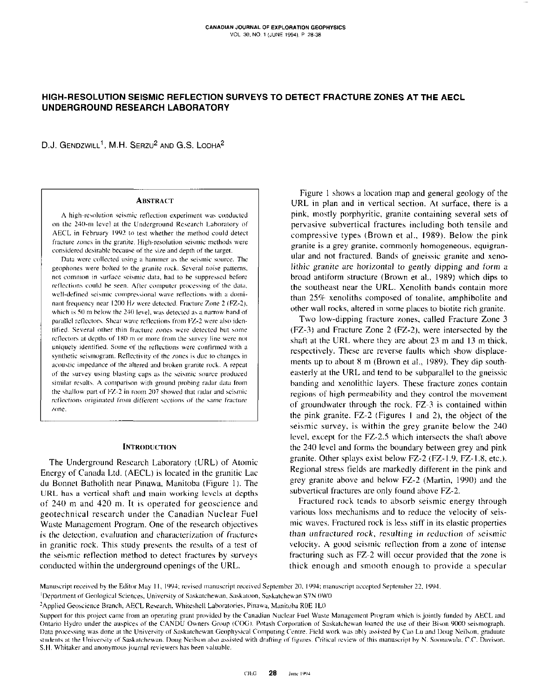D.J. GENDZWILL<sup>1</sup>, M.H. SERZU<sup>2</sup> AND G.S. LODHA<sup>2</sup>

### **ABSTRACT**

A high-resolution seismic reflection experiment was conducted on the 240-m level at the Underground Research Laboratory of AECL in February 1992 to test whether the method could detect fracture zones in the granite. High-resolution seismic methods were considered desirable because of the size and depth of the target.

Data were collected using a hammer as the seismic source. The geophones were bolted to the granite rock. Several noise patterns, not common in surface seismic data, had to be suppressed before reflections could be seen. After computer processing of the data, well-defined seismic compressional wave reflections with a dominant frequency near 1200 Hz were detected. Fracture Zone 2 (FZ-2), which is 50 m below the 240 level, was detected as a narrow band of parallel reflectors. Shear wave reflections from FZ-2 were also identified. Several other thin fracture zones were detected but some reflectors at depths of 180 m or more from the survey line were not uniquely identified. Some of the reflections were confirmed with a synthetic seismogram. Reflectivity of the zones is due to changes in acoustic impedance of the altered and broken granite rock. A repeat of the survey using blasting caps as the seismic source produced similar results. A comparison with ground probing radar data from the shallow part of FZ-2 in room 207 showed that radar and seismic reflections originated from different sections of the same fracture zone.

### **INTRODUCTION**

The Underground Research Laboratory (URL) of Atomic Energy of Canada Ltd. (AECL) is located in the granitic Lac du Bonnet Batholith near Pinawa, Manitoba (Figure 1). The URL has a vertical shaft and main working levels at depths of 240 m and 420 m. It is operated for geoscience and geotechnical research under the Canadian Nuclear Fuel Waste Management Program. One of the research objectives is the detection, evaluation and characterization of fractures in granitic rock. This study presents the results of a test of the seismic reflection method to detect fractures by surveys conducted within the underground openings of the URL.

Figure 1 shows a location map and general geology of the URL in plan and in vertical section. At surface, there is a pink, mostly porphyritic, granite containing several sets of pervasive subvertical fractures including both tensile and compressive types (Brown et al., 1989). Below the pink granite is a grey granite, commonly homogeneous, equigranular and not fractured. Bands of gneissic granite and xenolithic granite are horizontal to gently dipping and form a broad antiform structure (Brown et al., 1989) which dips to the southeast near the URL. Xenolith bands contain more than 25% xenoliths composed of tonalite, amphibolite and other wall rocks, altered in some places to biotite rich granite.

Two low-dipping fracture zones, called Fracture Zone 3 (FZ-3) and Fracture Zone 2 (FZ-2), were intersected by the shaft at the URL where they are about 23 m and 13 m thick, respectively. These are reverse faults which show displacements up to about 8 m (Brown et al., 1989). They dip southeasterly at the URL and tend to be subparallel to the gneissic banding and xenolithic layers. These fracture zones contain regions of high permeability and they control the movement of groundwater through the rock. FZ-3 is contained within the pink granite. FZ-2 (Figures 1 and 2), the object of the seismic survey, is within the grey granite below the 240 level, except for the FZ-2.5 which intersects the shaft above the 240 level and forms the boundary between grey and pink granite. Other splays exist below FZ-2 (FZ-1.9, FZ-1.8, etc.). Regional stress fields are markedly different in the pink and grey granite above and below FZ-2 (Martin, 1990) and the subvertical fractures are only found above FZ-2.

Fractured rock tends to absorb seismic energy through various loss mechanisms and to reduce the velocity of seismic waves. Fractured rock is less stiff in its elastic properties than unfractured rock, resulting in reduction of seismic velocity. A good seismic reflection from a zone of intense fracturing such as FZ-2 will occur provided that the zone is thick enough and smooth enough to provide a specular

Manuscript received by the Editor May 11, 1994; revised manuscript received September 20, 1994; manuscript accepted September 22, 1994.

<sup>&</sup>lt;sup>1</sup>Department of Geological Sciences, University of Saskatchewan, Saskatoon, Saskatchewan S7N 0W0

<sup>&</sup>lt;sup>2</sup>Applied Geoscience Branch, AECL Research, Whiteshell Laboratories, Pinawa, Manitoba R0E 1L0

Support for this project came from an operating grant provided by the Canadian Nuclear Fuel Waste Management Program which is jointly funded by AECL and Ontario Hydro under the auspices of the CANDU Owners Group (COG). Potash Corporation of Saskatchewan loaned the use of their Bison 9000 seismograph. Data processing was done at the University of Saskatchewan Geophysical Computing Centre. Field work was ably assisted by Cao Lu and Doug Neilson, graduate students at the University of Saskatchewan. Doug Neilson also assisted with drafting of figures. Critical review of this manuscript by N. Soonawala, C.C. Davison. S.H. Whitaker and anonymous journal reviewers has been valuable.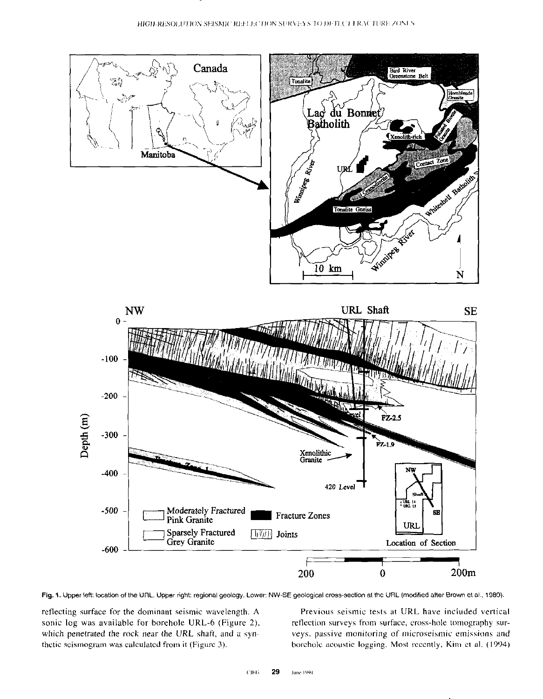

Fig. 1. Upper left: location of the URL. Upper right: regional geology. Lower: NW-SE geological cross-section at the URL (modified after Brown et al., 1989).

retlecting surface for the dominant seismic wavelength. A Previous seismic tests at URL have included vertical sonic log was available for borehole URL-6 (Figure 2), reflection surveys from surface, cross-hole tomography surwhich penetrated the rock near the URL shaft, and a syn-veys, passive monitoring of microseismic emissions and

thetic seismogram was calculated from it (Figure 3). horehole acoustic logging. Most recently, Kim et al. (1994)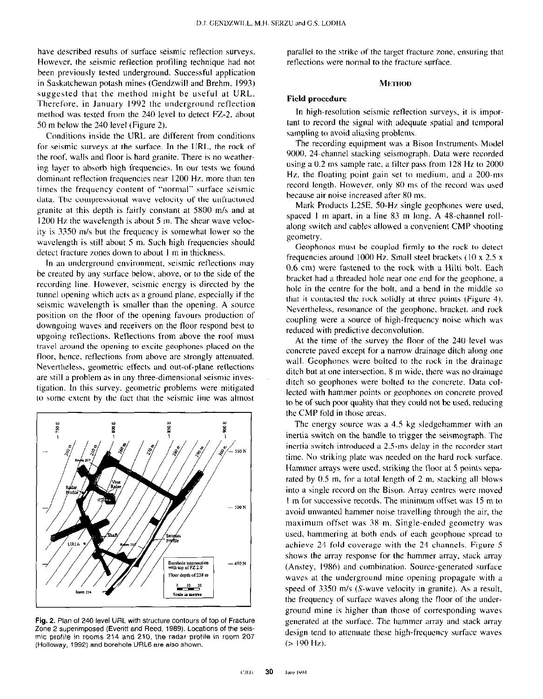have described results of surface seismic reflection surveys. However, the seismic reflection profiling technique had not heen previously tested underground. Successful application in Saskatchewan potash mines (Gendzwill and Brehm, 1993) suggested that the method might he useful at URL. Therefore, in January 1992 the underground reflection method was tested from the 240 level to detect FZ-2. about SO m below the 240 level (Figure 2).

Conditions inside the URL are different from conditions for seismic surveys at the surface. In the URL, the rock of the roof, wdls and tloor is hard granite. There is no weathering layer to absorb high frequencies. In our tests we found dominant reflection frequencies near 1200 Hz, more than ten times the frequency content of "normal" surface seismic data. The compressional wave velocity of the unfractured granite at this depth is fairly constant at 5800 m/s and at I200 Hz the wavelength is ahout 5 m. The shear wave velocity is 3350 m/s but the frequency is somewhat lower so the wavelength is still about 5 m. Such high frequencies should detect fracture zones down to about I m in thickness.

In an underground environment, seismic retlections may he created by any surface below, above, or to the side of the recording line. However. seismic energy is directed by the tunnel opening which acts as a ground plane, especially if the seismic wavelength is smaller than the opening. A source position on the tloor of the opening favours production of downgoing waves and receivers on the floor respond best to upgoing reflections. Reflections from above the roof must travel around the opening to excite geophones placed on the floor, hence, reflections from above are strongly attenuated. Nevertheless, geometric effects and out-of-plane retlections are still a problem as in any three-dimensional seismic investigation. In this survey. geometric problems were mitigated to some extent by the fact that the seismic line was almost



Fig. 2. Plan of 240 level URL with structure contours of top of Fracture Zone 2 superimposed (Everitt and Reed, 1989). Locations of the seismic profile in rooms 214 and 210. the radar profile in room 207 (Holloway. 1992) and borehole URL6 are also shown.

parallel to the strike of the target fracture zone, ensuring that reflections were normal to the fracture surface.

### **METHOD**

### Field procedure

In high-resolution seismic retlection surveys, it is important to record the signal with adequate spatial and temporal sampling to avoid aliasing problems.

The recording equipment was a Bison Instruments Model 9000, 24-channel stacking seismograph. Data were recorded using a 0.2 ms sample rate, a filter pass from 128 Hz to 2000 Hz, the floating point gain set to medium, and a 200-ms record length. However, only X0 ms of the record was used because air noise increased after 80 ms.

Mark Products L2SE. SO-Hz single geophones were used, spaced 1 m apart, in a line 83 m long. A 48-channel rollalong switch and cables allowed a convenient CMP shooting geometry.

Geophones must he coupled firmly to the rock to detect frequencies around 1000 Hz. Small steel brackets (IO x 2.5 x 0.6 cm) were fastened to the rock with a Hilti holt. Each bracket had a threaded hole near one end for the geophone, a hole in the centre for the holt, and a bend in the middle so that it contacted the rock solidly at three points (Figure 4). Nevertheless, resonance of the geophone, bracket, and rock coupling were a source of high-frequency noise which was reduced with predictive deconvolution.

At the time of the survey the floor of the 240 level was concrete paved except for a narrow drainage ditch along one wall. Geophones were bolted to the rock in the drainage ditch but at one intersection, 8 m wide, there was no drainage ditch so geophones were bolted to the concrete. Data collected with hammer points or geophones on concrete proved to be of such poor quality that they could not be used, reducing the CMP fold in those areas.

The energy source was a 4.5 kg sledgehammer with an inertia switch on the handle to trigger the seismograph. The inertia switch introduced a 2.5-ms delay in the recorder start time. No striking plate was needed on the hard rock surface. Hammer arrays were used, striking the floor at 5 points separated by  $0.5$  m, for a total length of  $2$  m, stacking all blows into a single record on the Bison. Array centres were moved I tn for successive records. The minimum offset was IS m to avoid unwanted hammer noise travelling through the air. the maximum offset was 18 m. Single-ended geometry was used, hammering at both ends of each gcophone spread to achieve 24.fold coverage with the 24 channels. Figure 5 shows the array response for the hammer array, stack array (Anstey, 1986) and combination. Source-generated surface waves at the underground mine opening propagate with a speed of  $3350$  m/s (S-wave velocity in granite). As a result, the frequency of surface waves along the floor of the underground mine is higher than those of corresponding waves generated at the surface. The hammer array and stack array design tend to attenuate these high-frequency surface waves  $(> 190 \text{ Hz})$ .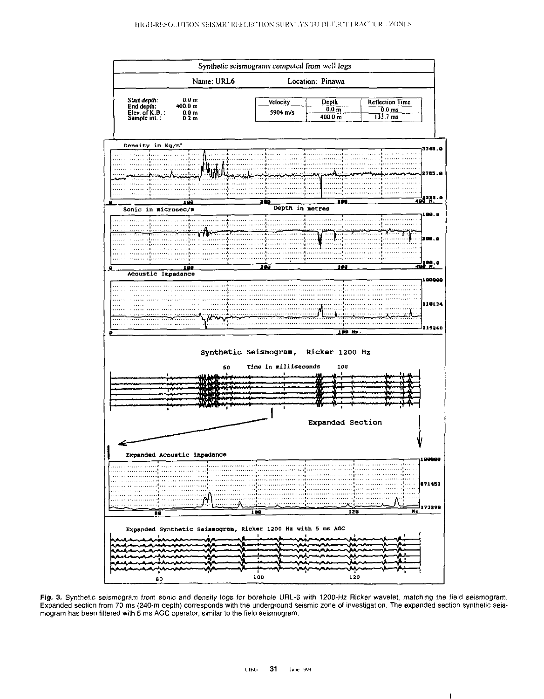

Fig. 3. Synthetic seismogram from sonic and density logs for borehole URL-6 with 1200-Hz Ricker wavelet, matching the field seismogram. Expanded section from 70 ms (240-m depth) corresponds with the underground seismic zone of investigation. The expanded section synthetic seismogram has been filtered with 5 ms AGC operator, similar to the field seismogram.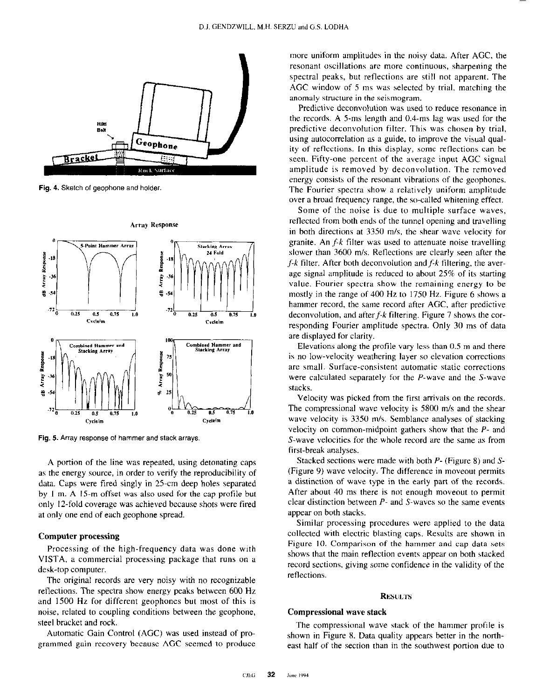

Fig. 4. Sketch of geophone and holder.



Fig. 5. Array response of hammer and stack arrays.

A portion of the line was repeated, using detonating caps as the energy source, in order to verify the reproducibility of data. Caps were fired singly in 25-cm deep holes separated by I m. A 15-m offset was also used for the cap profile but only 12.fold coverage was achieved because shots were fired at only one end of each geophone spread.

### Computer processing

Processing of the high-frequency data was done with VISTA, a commercial processing package that runs on a desk-top computer.

The original records are very noisy with no recognizable retlections. The spectra show energy peaks between 600 Hz and 1500 Hz for different geophones but most of this is noise, related to coupling conditions between the geophone, steel bracket and rock.

Automatic Gain Control (AGC) was used instead of programmed gain recovery because AGC seemed to produce more uniform amplitudes in the noisy data. After AGC, the resonant oscillations are more continuous, sharpening the spectral peaks, but reflections are still not apparent. The AGC window of 5 ms was selected by trial, matching the anomaly structure in the seismogram.

Predictive deconvolution was used to reduce resonance in the records. A 5.ms length and 0.4.ms lag was used for the predictive deconvolution filter. This was chosen by trial, using autocorrelation as a guide, to improve the visual quality of reflections. In this display, some retlections can be seen. Fifty-one percent of the average input AGC signal amplitude is removed by deconvolution. The removed energy consists of the resonant vibrations of the geophones. The Fourier spectra show a relatively uniform amplitude over a broad frequency range, the so-called whitening effect.

Some of the noise is due to multiple surface waves, reflected from both ends of the tunnel opening and travelling in both directions at 3350 m/s, the sheer wave velocity for granite. An  $f$ -k filter was used to attenuate noise travelling slower than 3600 m/s. Retlections are clearly seen after the  $f-k$  filter. After both deconvolution and  $f-k$  filtering, the average signal amplitude is reduced to about 25% of its starting value. Fourier spectra show the remaining energy to be mostly in the range of 400 Hz to 1750 Hz. Figure 6 shows a hammer record, the same record after AGC, after predictive deconvolution, and after  $f-k$  filtering. Figure 7 shows the corresponding Fourier amplitude spectra. Only 30 ms of data are displayed for clarity.

Elevations along the profile vary less than 0.5 m and there is no low-velocity weathering layer so elevation corrections are small. Surface-consistent automatic static corrections were calculated separately for the P-wave and the S-wave stacks.

Velocity was picked from the first arrivals on the records. The compressional wave velocity is 5800 m/s and the shear wave velocity is 3350 m/s. Semblance analyses of stacking velocity on common-midpoint gathers show that the P- and S-wave velocities for the whole record are the same as from first-break analyses.

Stacked sections were made with both P- (Figure 8) and S- (Figure 9) wave velocity. The difference in moveout permits a distinction of wave type in the early part of the records. After about 40 ms there is not enough moveout to permit clear distinction between P- and S-waves so the same events appear on both stacks.

Similar processing procedures were applied to the data collected with electric blasting caps. Results are shown in Figure IO. Comparison of the hemmer and cap data sets shows that the main reflection events appear on both stacked record sections, giving some confidence in the validity of the reflections.

#### **RESULTS**

## Compressional wave stack

The compressional wave stack of the hammer profile is shown in Figure 8. Data quality appears better in the northeast half of the section than in the southwest portion due to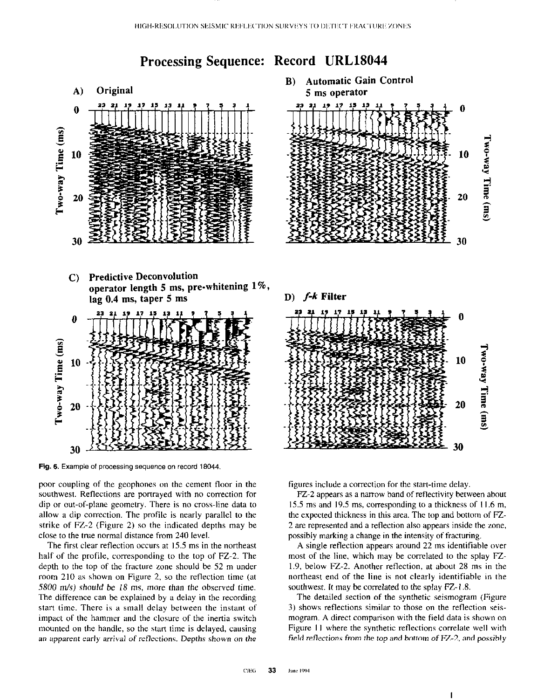# Processing Sequence: Record URL18044



Fig. 6. Example of processing sequence on record 18044.

poor coupling of the geophones on the cement floor in the southwest. Reflections are portrayed with no correction for dip or out-of-plane geometry. There is no cross-line data to allow a dip correction. The profile is nearly parallel to the strike of FZ-2 (Figure 2) so the indicated depths may be close to the true normal distance from 240 level.

The first clear reflection occurs at 15.5 ms in the northeast half of the profile, corresponding to the top of FZ-2. The depth to the top of the fracture zone should be 52 m under room 210 as shown on Figure 2, so the reflection time (at 5800 m/s) should be 18 ms, more than the observed time. The difference can be explained by a delay in the recording start time. There is a small delay between the instant of impact of the hammer and the closure of the inertia switch mounted on the handle, so the start time is delayed, causing an apparent early arrival of reflections. Depths shown on the





D) f-k Filter

 $\mathbf{0}$ 

 $10\quad \frac{5}{2}$ ≨. ۹ 20 m 9

ত

30

20

figures include a correction for the start-time delay.

FZ-2 appears as a narrow band of reflectivity between about 15.5 ms and 19.5 ms, corresponding to a thickness of I I .6 m, the expected thickness in this area. The top and bottom of FZ 2 are represented and a reflection also appears inside the zone, possibly marking a change in the intensity of fracturing.

A single reflection appears around 22 ms identifiable over most of the line. which may be correlated to the splay FZ-1.9, below FZ-2. Another reflection, at about 28 ms in the northeast end of the line is not clearly identifiable in the southwest. It may be correlated to the splay FZ-1.8.

The detailed section of the synthetic seismogram (Figure 3) shows reflections similar to those on the reflection seismogram. A direct comparison with the field data is shown on Figure 11 where the synthetic reflections correlate well with field reflections from the top and bottom of FZ-2, and possibly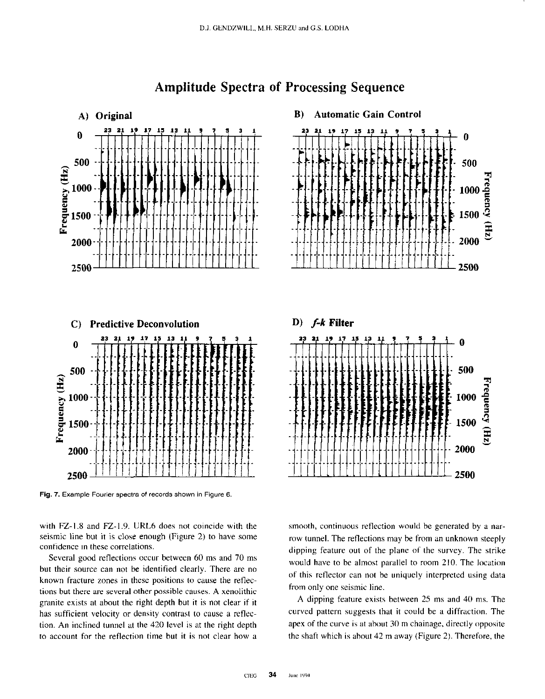

# Amplitude Spectra of Processing Sequence

Fig. 7. Example Fourier spectra of records shown in Figure 6.

with FZ-1.8 and FZ-1.9. URL6 does not coincide with the seismic line but it is close enough (Figure 2) to have some confidence in these correlations.

Several good reflections occur between 60 ms and 70 ms but their source can not be identified clearly. There are no known fracture zones in these positions to cause the retlections but there are several other possible causes. A xenolithic granite exists at about the right depth but it is not clear if it has sufficient velocity or density contrast to cause a retlection. An inclined tunnel at the 420 level is at the right depth to account for the reflection time but it is not clear how a





smooth, continuous reflection would be generated by a narrow tunnel. The reflections may be from an unknown steeply dipping feature out of the plane of the survey. The strike would have to be almost parallel to room 210. The location of this reflector can not be uniquely interpreted using data from only one seismic line.

A dipping feature exists between 25 ms and 40 ms. The curved pattern suggests that it could be a diffraction. The apex of the curve is at about 30 m chainage, directly opposite the shaft which is about 42 m away (Figure 2). Therefore, the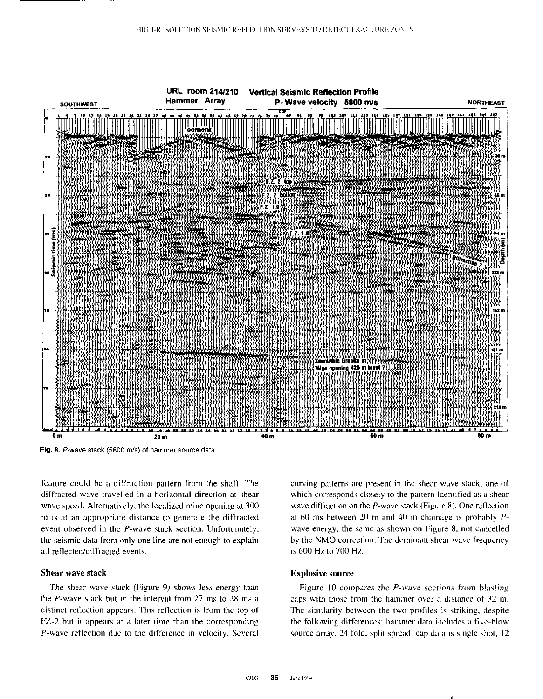

Fig. 8. P-wave stack (5800 m/s) of hammer source data.

feature could be a diffraction pattern from the shaft. The diffracted wave travelled in a horizontal direction at shear wave speed. Alternatively, the localized mine opening at 300 m is at an appropriate distance to generate the diffracted event observed in the P-wave stack section. Unfortunately, the seismic data from only one line are not enough to explain all reflected/diffracted events.

# Shear wave stack

The shear wave stack (Figure 9) shows less energy than the P-wave stack but in the interval from 27 ms to 28 ms a distinct reflection appears. This reflection is from the top of FZ-2 but it appears at a later time than the corresponding P-wave retlection due to the difference in velocity. Several

curving patterns are present in the shear wave stack, one of which corresponds closely to the pattern identified as a shear wave diffraction on the  $P$ -wave stack (Figure 8). One reflection at 60 ms between 20 m and 40 m chainage is probably Pwave energy, the sane as shown on Figure 8. not cancelled by the NM0 correction. The dominant shear wave frequency is 600 Hz to 700 Hz.

### Explosive source

Figure 10 compares the  $P$ -wave sections from blasting. caps with those from the hammer over a distance of 32 m. The similarity between the two profiles is striking, despite the following differences: hammer data includes a five-blow source array. 24 fold, split spread; cap data is single shot. I2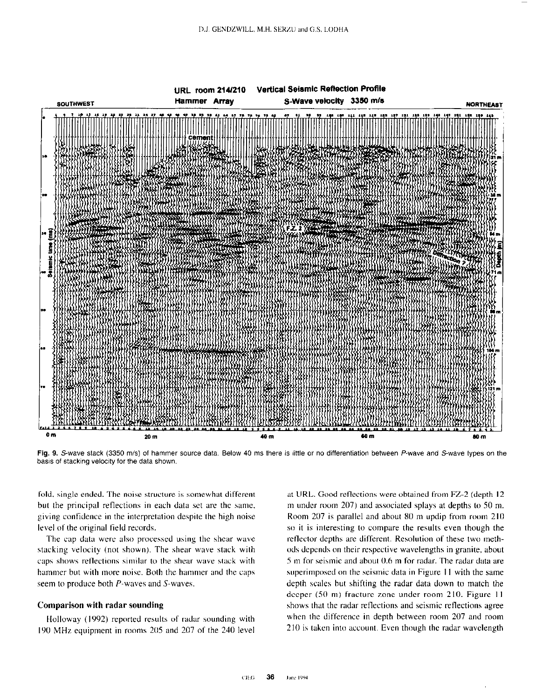

Fig. 9. S-wave stack (3350 m/s) of hammer source data. Below 40 ms there is little or no differentiation between P-wave and S-wave types on the basis of stacking velocity for the data shown.

fold, single ended. The noise structure is somewhat different but the principal reflections in each data set are the same. giving confidence in the interpretation despite the high noise level of the original field records.

The cap data were also processed using the shear wave stacking velocity (not shown). The shear wave stack with caps shows reflections similar to the shear wave stack with hammer but with more noise. Both the hammer and the caps seem to produce both P-waves and S-waves.

# Comparison with radar sounding

Holloway (1992) reported results of radar sounding with I90 MHz equipment in rooms 205 and 207 of the 240 level at URL. Good reflections were obtained from FZ-2 (depth 12) m under room 207) and associated splays at depths to 50 m. Room 207 is parallel and about 80 m updip from room 210 so it is interesting to compare the results even though the reflector depths are different. Resolution of these two methods depends on their respective wavelengths in granite, about 5 m for seismic and about 0.6 m for radar. The radar data are superimposed on the seismic data in Figure 11 with the same depth scales hut shifting the radar data down to match the deeper (50 m) fracture zone under room 210. Figure 11 shows that the radar reflections and seismic reflections agree when the difference in depth between room 207 and room 210 is taken into account. Even though the radar wavelength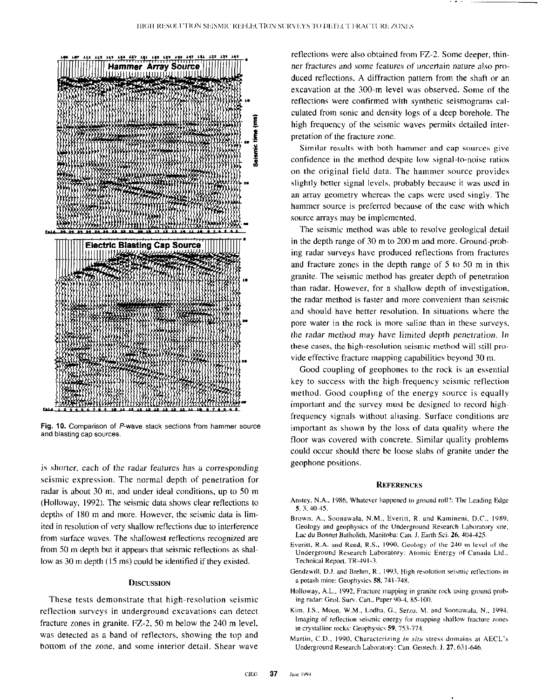

Fig. 10. Comparison of P-wave stack sections from hammer source and blasting cap sources.

is shorter, each of the radar features has a corresponding seismic expression. The normal depth of penetration for radar is about 30 m, and under ideal conditions, up to SO m (Holloway, 1992). The seismic data shows clear reflections to depths of 180 m and more. However, the seismic data is limited in resolution of very shallow retlections due to interference from surface waves. The shallowest reflections recognized arc from 50 m depth but it appears that seismic reflections as shallow as 30 m depth (15 ms) could be identified if they existed.

### **DISCUSSION**

These tests demonstrate that high-resolution seismic reflection surveys in underground excavations can detect fracture zones in granite.  $FZ-2$ , 50 m below the 240 m level, was detected as a hand of reflectors, showing the top and bottom of the zone, and some interior detail. Shear wave

reflections were also obtained from FZ-2. Some deeper, thinner fractures and some features of uncertain nature also produced reflections. A diffraction pattern from the shaft or an excavation at the 300-m level was observed. Some of the reflections were confirmed with synthetic seismograms calculated from sonic and density logs of a deep borehole. The high frequency of the seismic waves permits detailed interpretation of the fracture zone.

Similar results with both hammer and cap sources give confidence in the method despite low signal-to-noise ratios on the original field data. The hammer source provides slightly better signal levels, probably because it was used in an array geometry whereas the caps were used singly. The hammer source is preferred because of the ease with which source arrays may be implemented.

The seismic method was able to resolve geological detail in the depth range of 30 m to 200 m and more. Ground-prohing radar surveys have produced retlections from fractures and fracture zones in the depth range of 5 to 50 m in this granite. The seismic method has greater depth of penetration than radar. However. for a shallow depth of investigation, the radar method is faster and more convenient than seismic and should have hetter resolution. In situations where the pore water in the rock is more saline than in these surveys. the radar method may have limited depth penetration. In these cases, the high-resolution seismic method will still provide effective fracture mapping capabilities beyond 30 m

Good coupling of geophones to the rock is an essential key to success with the high-frequency seismic reflection method. Good coupling of the energy source is equally important and the survey must be designed to record highfrequency signals without aliasing. Surface conditions are important as shown by the loss of data quality where the floor was covered with concrete. Similar quality problems could occur should there he loose slabs of granite under the geophone positions.

### **REFERENCES**

- Anstey, N.A., 1986, Whatever happened to ground roll?: The Leading Edge 5, 3, 40-45.
- Brown. A.. Soonawala. N.M., Everitt. R. and Kamineni. D.C.. 1989. Geology and geophysics of the Underground Research Laboratory site, Lac du Bonnet Batholith, Manitoba: Can. J. Earth Sci. 26, 404-425.
- Everitt, R.A. and Reed, R.S., 1990, Geology of the 240 m level of the Underground Research Laboratory: Atomic Energy of Canada Ltd., Technical Report, TR-491-3.
- Gendzwill, D.J. and Brehm, R., 1993, High resolution seismic reflections in a potash mine: Geophysics 58, 741-748.
- Holloway, A.L., 1992. Fracture mapping in granite rock using ground probing radar: Geol. Surv. Can., Paper 90-4, 85-100.
- Kim. J.S., Moon, W.M., Lodha. G., Serzu. M. and Soonawala, N., 1994. Imaging of reflection seismic energy for mapping shallow fracture zones in crystalline rocks: Geophysics 59, 753-774.
- Martin, C.D., 1990, Characterizing in situ stress domains at AECL's Underground Research Laboratory: Can. Geotech. J. 27, 631-646.

I